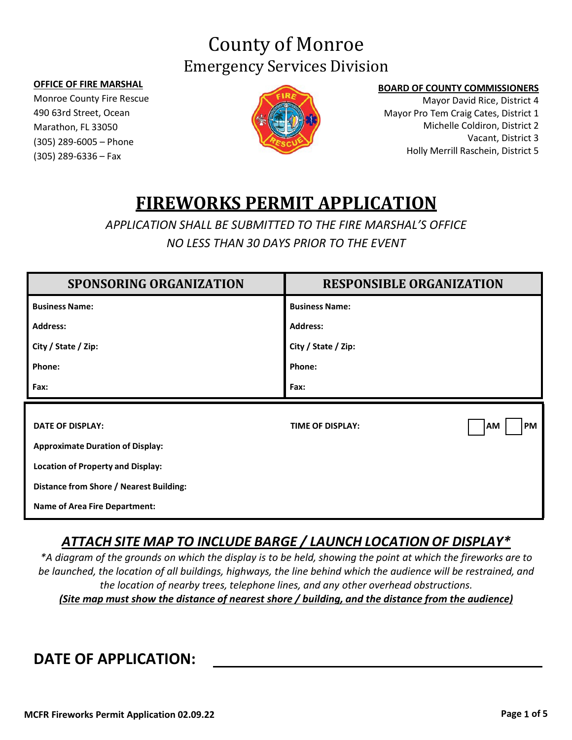# County of Monroe Emergency Services Division

#### **OFFICE OF FIRE MARSHAL**

Monroe County Fire Rescue 490 63rd Street, Ocean Marathon, FL 33050 (305) 289-6005 – Phone (305) 289-6336 – Fax



#### **BOARD OF COUNTY COMMISSIONERS**

Mayor David Rice, District 4 Mayor Pro Tem Craig Cates, District 1 Michelle Coldiron, District 2 Vacant, District 3 Holly Merrill Raschein, District 5

## **FIREWORKS PERMIT APPLICATION**

*APPLICATION SHALL BE SUBMITTED TO THE FIRE MARSHAL'S OFFICE NO LESS THAN 30 DAYS PRIOR TO THE EVENT*

| <b>SPONSORING ORGANIZATION</b>                 | <b>RESPONSIBLE ORGANIZATION</b>            |
|------------------------------------------------|--------------------------------------------|
| <b>Business Name:</b>                          | <b>Business Name:</b>                      |
| <b>Address:</b>                                | <b>Address:</b>                            |
| City / State / Zip:                            | City / State / Zip:                        |
| Phone:                                         | Phone:                                     |
| Fax:                                           | Fax:                                       |
|                                                |                                            |
| <b>DATE OF DISPLAY:</b>                        | <b>TIME OF DISPLAY:</b><br>AM<br><b>PM</b> |
| <b>Approximate Duration of Display:</b>        |                                            |
| <b>Location of Property and Display:</b>       |                                            |
| <b>Distance from Shore / Nearest Building:</b> |                                            |
| <b>Name of Area Fire Department:</b>           |                                            |

### *ATTACH SITE MAP TO INCLUDE BARGE / LAUNCH LOCATION OF DISPLAY\**

\*A diagram of the grounds on which the display is to be held, showing the point at which the fireworks are to *be launched, the location of all buildings, highways, the line behind which the audience will be restrained, and the location of nearby trees, telephone lines, and any other overhead obstructions. (Site map must show the distance of nearest shore / building, and the distance from the audience)*

## **DATE OF APPLICATION:**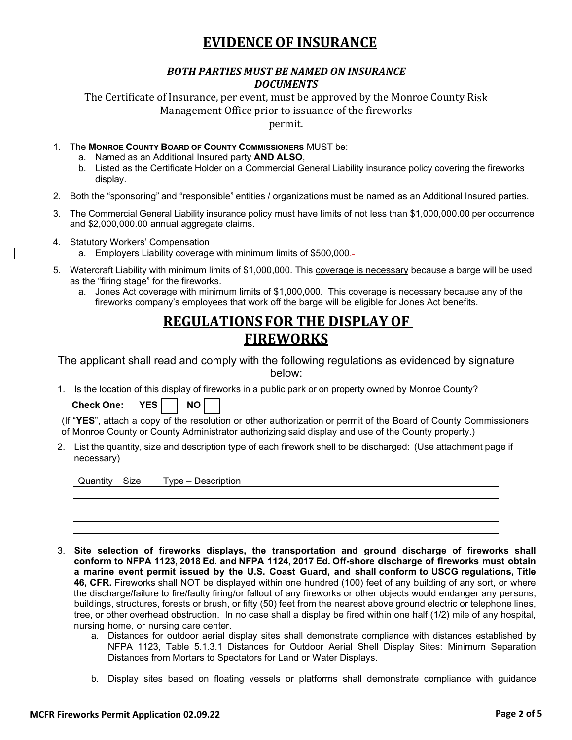### **EVIDENCE OF INSURANCE**

#### *BOTH PARTIES MUST BE NAMED ON INSURANCE DOCUMENTS*

The Certificate of Insurance, per event, must be approved by the Monroe County Risk Management Office prior to issuance of the fireworks

permit.

- 1. The **MONROE COUNTY BOARD OF COUNTY COMMISSIONERS** MUST be:
	- a. Named as an Additional Insured party **AND ALSO**,
	- b. Listed as the Certificate Holder on a Commercial General Liability insurance policy covering the fireworks display.
- 2. Both the "sponsoring" and "responsible" entities / organizations must be named as an Additional Insured parties.
- 3. The Commercial General Liability insurance policy must have limits of not less than \$1,000,000.00 per occurrence and \$2,000,000.00 annual aggregate claims.
- 4. Statutory Workers' Compensation
	- a. Employers Liability coverage with minimum limits of \$500,000.
- 5. Watercraft Liability with minimum limits of \$1,000,000. This coverage is necessary because a barge will be used as the "firing stage" for the fireworks.
	- a. Jones Act coverage with minimum limits of \$1,000,000. This coverage is necessary because any of the fireworks company's employees that work off the barge will be eligible for Jones Act benefits.

### **REGULATIONS FOR THE DISPLAY OF FIREWORKS**

The applicant shall read and comply with the following regulations as evidenced by signature below:

1. Is the location of this display of fireworks in a public park or on property owned by Monroe County?

**Check One: YES**  $\vert$  **NO** 

(If "**YES**", attach a copy of the resolution or other authorization or permit of the Board of County Commissioners of Monroe County or County Administrator authorizing said display and use of the County property.)

2. List the quantity, size and description type of each firework shell to be discharged: (Use attachment page if necessary)

| Quantity Size | Type – Description |
|---------------|--------------------|
|               |                    |
|               |                    |
|               |                    |
|               |                    |

- 3. **Site selection of fireworks displays, the transportation and ground discharge of fireworks shall conform to NFPA 1123, 2018 Ed. and NFPA 1124, 2017 Ed. Off-shore discharge of fireworks must obtain a marine event permit issued by the U.S. Coast Guard, and shall conform to USCG regulations, Title 46, CFR.** Fireworks shall NOT be displayed within one hundred (100) feet of any building of any sort, or where the discharge/failure to fire/faulty firing/or fallout of any fireworks or other objects would endanger any persons, buildings, structures, forests or brush, or fifty (50) feet from the nearest above ground electric or telephone lines, tree, or other overhead obstruction. In no case shall a display be fired within one half (1/2) mile of any hospital, nursing home, or nursing care center.
	- a. Distances for outdoor aerial display sites shall demonstrate compliance with distances established by NFPA 1123, Table 5.1.3.1 Distances for Outdoor Aerial Shell Display Sites: Minimum Separation Distances from Mortars to Spectators for Land or Water Displays.
	- b. Display sites based on floating vessels or platforms shall demonstrate compliance with guidance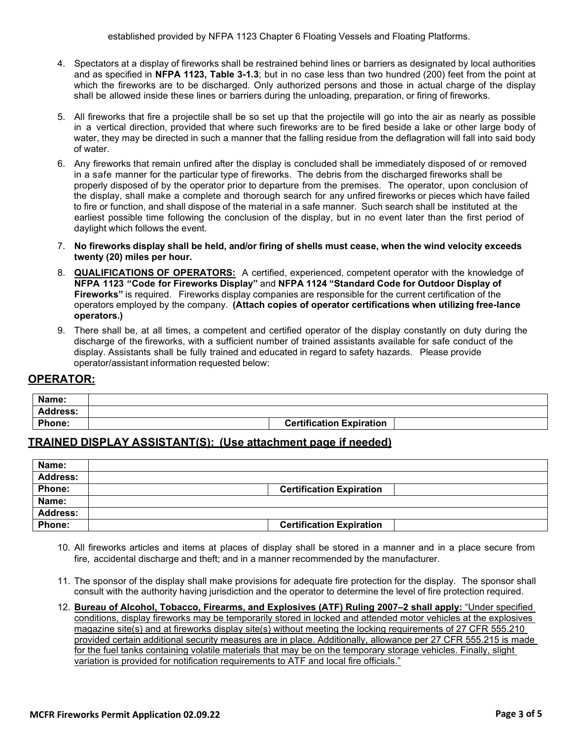- 4. Spectators at a display of fireworks shall be restrained behind lines or barriers as designated by local authorities and as specified in **NFPA 1123, Table 3-1.3**; but in no case less than two hundred (200) feet from the point at which the fireworks are to be discharged. Only authorized persons and those in actual charge of the display shall be allowed inside these lines or barriers during the unloading, preparation, or firing of fireworks.
- 5. All fireworks that fire a projectile shall be so set up that the projectile will go into the air as nearly as possible in a vertical direction, provided that where such fireworks are to be fired beside a lake or other large body of water, they may be directed in such a manner that the falling residue from the deflagration will fall into said body of water.
- 6. Any fireworks that remain unfired after the display is concluded shall be immediately disposed of or removed in a safe manner for the particular type of fireworks. The debris from the discharged fireworks shall be properly disposed of by the operator prior to departure from the premises. The operator, upon conclusion of the display, shall make a complete and thorough search for any unfired fireworks or pieces which have failed to fire or function, and shall dispose of the material in a safe manner. Such search shall be instituted at the earliest possible time following the conclusion of the display, but in no event later than the first period of daylight which follows the event.
- 7. **No fireworks display shall be held, and/or firing of shells must cease, when the wind velocity exceeds twenty (20) miles per hour.**
- 8. **QUALIFICATIONS OF OPERATORS:** A certified, experienced, competent operator with the knowledge of **NFPA 1123 "Code for Fireworks Display"** and **NFPA 1124 "Standard Code for Outdoor Display of Fireworks"** is required. Fireworks display companies are responsible for the current certification of the operators employed by the company. **(Attach copies of operator certifications when utilizing free-lance operators.)**
- 9. There shall be, at all times, a competent and certified operator of the display constantly on duty during the discharge of the fireworks, with a sufficient number of trained assistants available for safe conduct of the display. Assistants shall be fully trained and educated in regard to safety hazards. Please provide operator/assistant information requested below:

#### **OPERATOR:**

| Name:           |                                 |
|-----------------|---------------------------------|
| <b>Address:</b> |                                 |
| Phone:          | <b>Certification Expiration</b> |

#### **TRAINED DISPLAY ASSISTANT(S): (Use attachment page if needed)**

| Name:           |                                 |  |
|-----------------|---------------------------------|--|
| <b>Address:</b> |                                 |  |
| Phone:          | <b>Certification Expiration</b> |  |
| Name:           |                                 |  |
| <b>Address:</b> |                                 |  |
| Phone:          | <b>Certification Expiration</b> |  |

- 10. All fireworks articles and items at places of display shall be stored in a manner and in a place secure from fire, accidental discharge and theft; and in a manner recommended by the manufacturer.
- 11. The sponsor of the display shall make provisions for adequate fire protection for the display. The sponsor shall consult with the authority having jurisdiction and the operator to determine the level of fire protection required.
- 12. **Bureau of Alcohol, Tobacco, Firearms, and Explosives (ATF) Ruling 2007–2 shall apply:** "Under specified conditions, display fireworks may be temporarily stored in locked and attended motor vehicles at the explosives magazine site(s) and at fireworks display site(s) without meeting the locking requirements of 27 CFR 555.210 provided certain additional security measures are in place. Additionally, allowance per 27 CFR 555.215 is made for the fuel tanks containing volatile materials that may be on the temporary storage vehicles. Finally, slight variation is provided for notification requirements to ATF and local fire officials."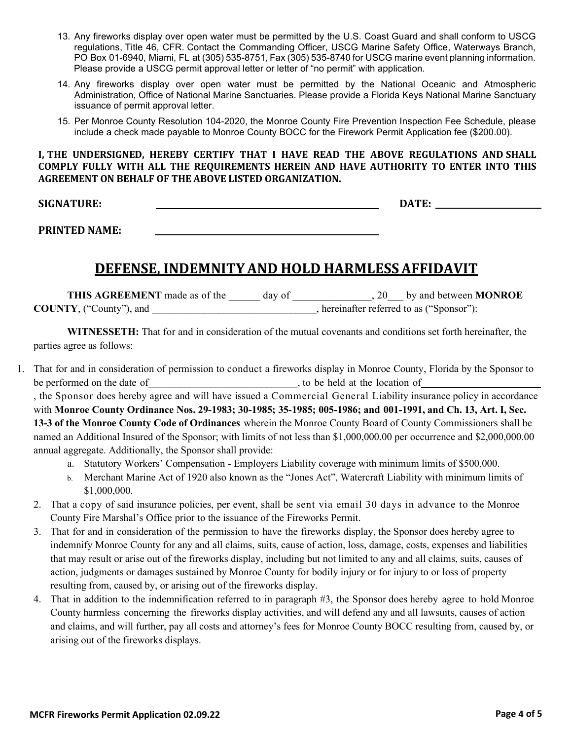- 13. Any fireworks display over open water must be permitted by the U.S. Coast Guard and shall conform to USCG regulations, Title 46, CFR. Contact the Commanding Officer, USCG Marine Safety Office, Waterways Branch, PO Box 01-6940, Miami, FL at (305) 535-8751, Fax (305) 535-8740 for USCG marine event planning information. Please provide a USCG permit approval letter or letter of "no permit" with application.
- 14. Any fireworks display over open water must be permitted by the National Oceanic and Atmospheric Administration, Office of National Marine Sanctuaries. Please provide a Florida Keys National Marine Sanctuary issuance of permit approval letter.
- 15. Per Monroe County Resolution 104-2020, the Monroe County Fire Prevention Inspection Fee Schedule, please include a check made payable to Monroe County BOCC for the Firework Permit Application fee (\$200.00).

**I, THE UNDERSIGNED, HEREBY CERTIFY THAT I HAVE READ THE ABOVE REGULATIONS AND SHALL COMPLY FULLY WITH ALL THE REQUIREMENTS HEREIN AND HAVE AUTHORITY TO ENTER INTO THIS AGREEMENT ON BEHALF OF THE ABOVE LISTED ORGANIZATION.**

**SIGNATURE: DATE:** 

**PRINTED NAME:** 

### **DEFENSE, INDEMNITYAND HOLD HARMLESSAFFIDAVIT**

**THIS AGREEMENT** made as of the \_\_\_\_\_\_ day of \_\_\_\_\_\_\_\_\_\_\_\_\_\_\_, 20\_\_\_ by and between **MONROE COUNTY**, ("County"), and \_\_\_\_\_\_\_\_\_\_\_\_\_\_\_\_\_\_\_\_\_\_\_\_\_\_\_\_\_\_\_\_, hereinafter referred to as ("Sponsor"):

**WITNESSETH:** That for and in consideration of the mutual covenants and conditions set forth hereinafter, the parties agree as follows:

- 1. That for and in consideration of permission to conduct a fireworks display in Monroe County, Florida by the Sponsor to be performed on the date of\_\_\_\_\_\_\_\_\_\_\_\_\_\_\_\_\_\_\_\_\_\_\_\_\_\_\_\_\_, to be held at the location of , the Sponsor does hereby agree and will have issued a Commercial General Liability insurance policy in accordance with **Monroe County Ordinance Nos. 29-1983; 30-1985; 35-1985; 005-1986; and 001-1991, and Ch. 13, Art. I, Sec. 13-3 of the Monroe County Code of Ordinances** wherein the Monroe County Board of County Commissioners shall be named an Additional Insured of the Sponsor; with limits of not less than \$1,000,000.00 per occurrence and \$2,000,000.00 annual aggregate. Additionally, the Sponsor shall provide:
	- a. Statutory Workers' Compensation Employers Liability coverage with minimum limits of \$500,000.
	- b. Merchant Marine Act of 1920 also known as the "Jones Act", Watercraft Liability with minimum limits of \$1,000,000.
	- 2. That a copy of said insurance policies, per event, shall be sent via email 30 days in advance to the Monroe County Fire Marshal's Office prior to the issuance of the Fireworks Permit.
	- 3. That for and in consideration of the permission to have the fireworks display, the Sponsor does hereby agree to indemnify Monroe County for any and all claims, suits, cause of action, loss, damage, costs, expenses and liabilities that may result or arise out of the fireworks display, including but not limited to any and all claims, suits, causes of action, judgments or damages sustained by Monroe County for bodily injury or for injury to or loss of property resulting from, caused by, or arising out of the fireworks display.
	- 4. That in addition to the indemnification referred to in paragraph #3, the Sponsor does hereby agree to hold Monroe County harmless concerning the fireworks display activities, and will defend any and all lawsuits, causes of action and claims, and will further, pay all costs and attorney's fees for Monroe County BOCC resulting from, caused by, or arising out of the fireworks displays.